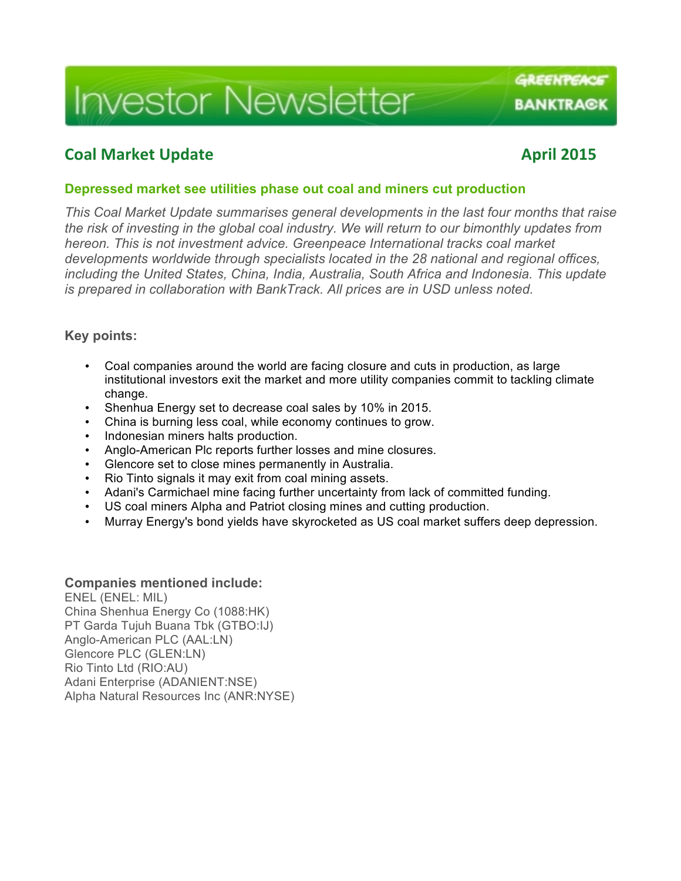# **Investor Newsletter**

# **Coal Market Update April 2015**

GREENPEACE

**BANKTRA@K** 

#### **Depressed market see utilities phase out coal and miners cut production**

*This Coal Market Update summarises general developments in the last four months that raise the risk of investing in the global coal industry. We will return to our bimonthly updates from hereon. This is not investment advice. Greenpeace International tracks coal market developments worldwide through specialists located in the 28 national and regional offices, including the United States, China, India, Australia, South Africa and Indonesia. This update is prepared in collaboration with BankTrack. All prices are in USD unless noted.*

#### **Key points:**

- Coal companies around the world are facing closure and cuts in production, as large institutional investors exit the market and more utility companies commit to tackling climate change.
- Shenhua Energy set to decrease coal sales by 10% in 2015.
- China is burning less coal, while economy continues to grow.
- Indonesian miners halts production.
- Anglo-American Plc reports further losses and mine closures.
- Glencore set to close mines permanently in Australia.
- Rio Tinto signals it may exit from coal mining assets.
- Adani's Carmichael mine facing further uncertainty from lack of committed funding.
- US coal miners Alpha and Patriot closing mines and cutting production.
- Murray Energy's bond yields have skyrocketed as US coal market suffers deep depression.

#### **Companies mentioned include:**

ENEL (ENEL: MIL) China Shenhua Energy Co (1088:HK) PT Garda Tujuh Buana Tbk (GTBO:IJ) Anglo-American PLC (AAL:LN) Glencore PLC (GLEN:LN) Rio Tinto Ltd (RIO:AU) Adani Enterprise (ADANIENT:NSE) Alpha Natural Resources Inc (ANR:NYSE)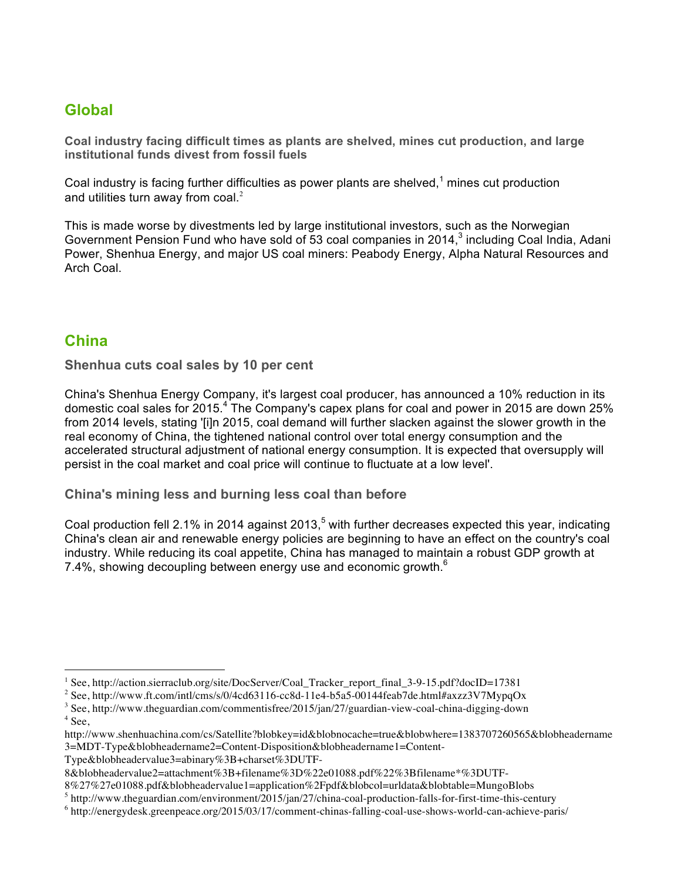# **Global**

**Coal industry facing difficult times as plants are shelved, mines cut production, and large institutional funds divest from fossil fuels**

Coal industry is facing further difficulties as power plants are shelved, $1$  mines cut production and utilities turn away from  $\text{coal.}^2$ 

This is made worse by divestments led by large institutional investors, such as the Norwegian Government Pension Fund who have sold of 53 coal companies in 2014,<sup>3</sup> including Coal India, Adani Power, Shenhua Energy, and major US coal miners: Peabody Energy, Alpha Natural Resources and Arch Coal.

## **China**

 $\overline{a}$ 

**Shenhua cuts coal sales by 10 per cent** 

China's Shenhua Energy Company, it's largest coal producer, has announced a 10% reduction in its domestic coal sales for 2015.<sup>4</sup> The Company's capex plans for coal and power in 2015 are down 25% from 2014 levels, stating '[i]n 2015, coal demand will further slacken against the slower growth in the real economy of China, the tightened national control over total energy consumption and the accelerated structural adjustment of national energy consumption. It is expected that oversupply will persist in the coal market and coal price will continue to fluctuate at a low level'.

**China's mining less and burning less coal than before**

Coal production fell 2.1% in 2014 against 2013,<sup>5</sup> with further decreases expected this year, indicating China's clean air and renewable energy policies are beginning to have an effect on the country's coal industry. While reducing its coal appetite, China has managed to maintain a robust GDP growth at 7.4%, showing decoupling between energy use and economic growth.<sup>6</sup>

Type&blobheadervalue3=abinary%3B+charset%3DUTF-

8%27%27e01088.pdf&blobheadervalue1=application%2Fpdf&blobcol=urldata&blobtable=MungoBlobs

<sup>1</sup> See, http://action.sierraclub.org/site/DocServer/Coal\_Tracker\_report\_final\_3-9-15.pdf?docID=17381

<sup>2</sup> See, http://www.ft.com/intl/cms/s/0/4cd63116-cc8d-11e4-b5a5-00144feab7de.html#axzz3V7MypqOx

<sup>&</sup>lt;sup>3</sup> See, http://www.theguardian.com/commentisfree/2015/jan/27/guardian-view-coal-china-digging-down  $^4$  See,

http://www.shenhuachina.com/cs/Satellite?blobkey=id&blobnocache=true&blobwhere=1383707260565&blobheadername 3=MDT-Type&blobheadername2=Content-Disposition&blobheadername1=Content-

<sup>8&</sup>amp;blobheadervalue2=attachment%3B+filename%3D%22e01088.pdf%22%3Bfilename\*%3DUTF-

<sup>5</sup> http://www.theguardian.com/environment/2015/jan/27/china-coal-production-falls-for-first-time-this-century

<sup>6</sup> http://energydesk.greenpeace.org/2015/03/17/comment-chinas-falling-coal-use-shows-world-can-achieve-paris/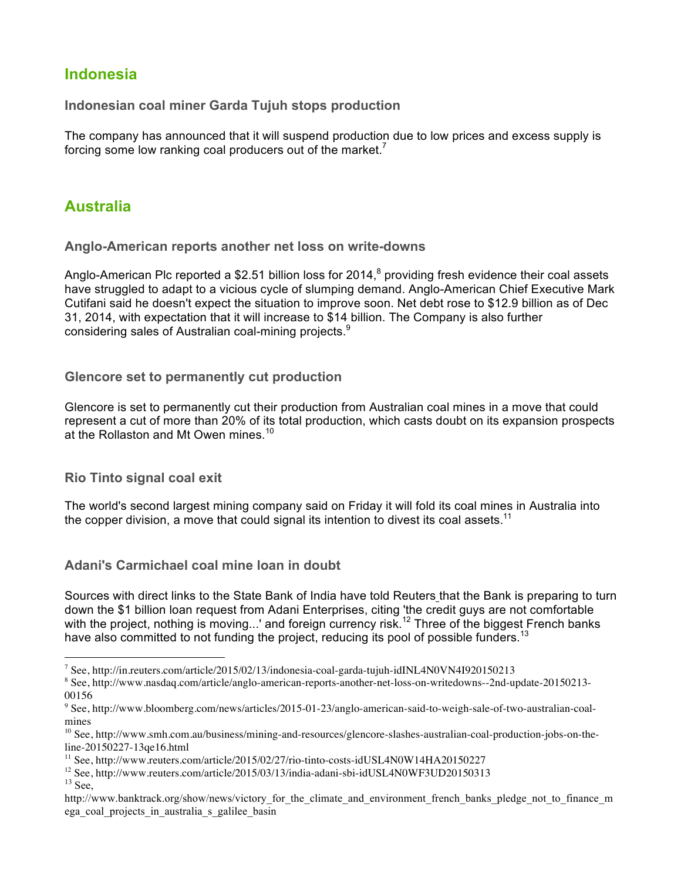# **Indonesia**

**Indonesian coal miner Garda Tujuh stops production**

The company has announced that it will suspend production due to low prices and excess supply is forcing some low ranking coal producers out of the market.

# **Australia**

**Anglo-American reports another net loss on write-downs**

Anglo-American Plc reported a \$2.51 billion loss for 2014, $^8$  providing fresh evidence their coal assets have struggled to adapt to a vicious cycle of slumping demand. Anglo-American Chief Executive Mark Cutifani said he doesn't expect the situation to improve soon. Net debt rose to \$12.9 billion as of Dec 31, 2014, with expectation that it will increase to \$14 billion. The Company is also further considering sales of Australian coal-mining projects.<sup>9</sup>

**Glencore set to permanently cut production**

Glencore is set to permanently cut their production from Australian coal mines in a move that could represent a cut of more than 20% of its total production, which casts doubt on its expansion prospects at the Rollaston and Mt Owen mines.<sup>10</sup>

**Rio Tinto signal coal exit**

The world's second largest mining company said on Friday it will fold its coal mines in Australia into the copper division, a move that could signal its intention to divest its coal assets.<sup>11</sup>

**Adani's Carmichael coal mine loan in doubt**

Sources with direct links to the State Bank of India have told Reuters that the Bank is preparing to turn down the \$1 billion loan request from Adani Enterprises, citing 'the credit guys are not comfortable with the project, nothing is moving...' and foreign currency risk.<sup>12</sup> Three of the biggest French banks have also committed to not funding the project, reducing its pool of possible funders.<sup>13</sup>

 $\overline{a}$ 

<sup>7</sup> See, http://in.reuters.com/article/2015/02/13/indonesia-coal-garda-tujuh-idINL4N0VN4I920150213

<sup>8</sup> See, http://www.nasdaq.com/article/anglo-american-reports-another-net-loss-on-writedowns--2nd-update-20150213- 00156

<sup>9</sup> See, http://www.bloomberg.com/news/articles/2015-01-23/anglo-american-said-to-weigh-sale-of-two-australian-coalmines

<sup>&</sup>lt;sup>10</sup> See, http://www.smh.com.au/business/mining-and-resources/glencore-slashes-australian-coal-production-jobs-on-theline-20150227-13qe16.html

<sup>11</sup> See, http://www.reuters.com/article/2015/02/27/rio-tinto-costs-idUSL4N0W14HA20150227

<sup>&</sup>lt;sup>12</sup> See, http://www.reuters.com/article/2015/03/13/india-adani-sbi-idUSL4N0WF3UD20150313<br><sup>13</sup> See

http://www.banktrack.org/show/news/victory\_for\_the\_climate\_and\_environment\_french\_banks\_pledge\_not\_to\_finance\_m ega coal projects in australia s galilee basin